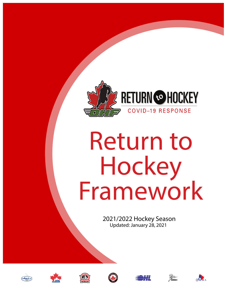

# Return to Hockey Framework

2021/2022 Hockey Season Updated: January 28, 2021













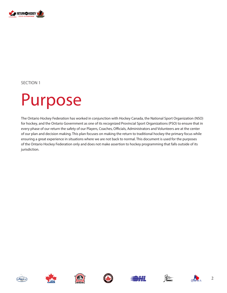

# Purpose

The Ontario Hockey Federation has worked in conjunction with Hockey Canada, the National Sport Organization (NSO) for hockey, and the Ontario Government as one of its recognized Provincial Sport Organizations (PSO) to ensure that in every phase of our return the safety of our Players, Coaches, Officials, Administrators and Volunteers are at the center of our plan and decision making. This plan focuses on making the return to traditional hockey the primary focus while ensuring a great experience in situations where we are not back to normal. This document is used for the purposes of the Ontario Hockey Federation only and does not make assertion to hockey programming that falls outside of its jurisdiction.













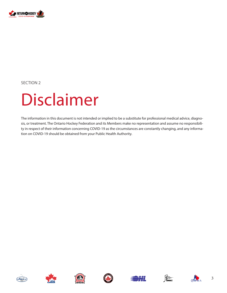

# Disclaimer

The information in this document is not intended or implied to be a substitute for professional medical advice, diagnosis, or treatment. The Ontario Hockey Federation and its Members make no representation and assume no responsibility in respect of their information concerning COVID-19 as the circumstances are constantly changing, and any information on COVID-19 should be obtained from your Public Health Authority.













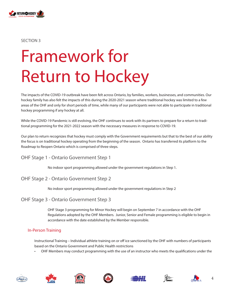

# Framework for Return to Hockey

The impacts of the COVID-19 outbreak have been felt across Ontario, by families, workers, businesses, and communities. Our hockey family has also felt the impacts of this during the 2020-2021 season where traditional hockey was limited to a few areas of the OHF and only for short periods of time, while many of our participants were not able to participate in traditional hockey programming if any hockey at all.

While the COVID-19 Pandemic is still evolving, the OHF continues to work with its partners to prepare for a return to traditional programming for the 2021-2022 season with the necessary measures in response to COVID-19.

Our plan to return recognizes that hockey must comply with the Government requirements but that to the best of our ability the focus is on traditional hockey operating from the beginning of the season. Ontario has transferred its platform to the Roadmap to Reopen Ontario which is comprised of three steps.

OHF Stage 1 - Ontario Government Step 1

No indoor sport programming allowed under the government regulations in Step 1.

#### OHF Stage 2 - Ontario Government Step 2

No indoor sport programming allowed under the government regulations in Step 2

#### OHF Stage 3 - Ontario Government Step 3

OHF Stage 3 programming for Minor Hockey will begin on September 7 in accordance with the OHF Regulations adopted by the OHF Members. Junior, Senior and Female programming is eligible to begin in accordance with the date established by the Member responsible.

#### In-Person Training

Instructional Training – Individual athlete training on or off ice sanctioned by the OHF with numbers of participants based on the Ontario Government and Public Health restrictions

• OHF Members may conduct programming with the use of an instructor who meets the qualifications under the













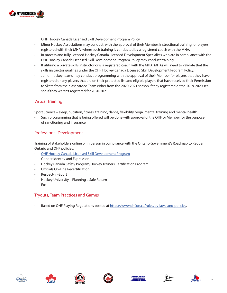

OHF Hockey Canada Licensed Skill Development Program Policy.

- Minor Hockey Associations may conduct, with the approval of their Member, instructional training for players registered with their MHA, where such training is conducted by a registered coach with the MHA.
- In process and fully licensed Hockey Canada Licensed Development Specialists who are in compliance with the OHF Hockey Canada Licensed Skill Development Program Policy may conduct training.
- If utilizing a private skills instructor or is a registered coach with the MHA; MHAs will need to validate that the skills instructor qualifies under the OHF Hockey Canada Licensed Skill Development Program Policy.
- Junior hockey teams may conduct programming with the approval of their Member for players that they have registered or any players that are on their protected list and eligible players that have received their Permission to Skate from their last carded Team either from the 2020-2021 season if they registered or the 2019-2020 season if they weren't registered for 2020-2021.

#### Virtual Training

Sport Science – sleep, nutrition, fitness, training, dance, flexibility, yoga, mental training and mental health.

• Such programming that is being offered will be done with approval of the OHF or Member for the purpose of sanctioning and insurance.

#### Professional Development

Training of stakeholders online or in person in compliance with the Ontario Government's Roadmap to Reopen Ontario and OHF policies.

- [OHF Hockey Canada Licensed Skill Development Program](https://www.ohf.on.ca/risk-management/return-to-hockey-covid-19-response/ohf-hockey-canada-licensed-skill-development-program)
- Gender Identity and Expression
- Hockey Canada Safety Program/Hockey Trainers Certification Program
- Officials On-Line Recertification
- Respect-In-Sport
- Hockey University Planning a Safe Return
- Etc.

#### Tryouts, Team Practices and Games

• Based on OHF Playing Regulations posted at <https://www.ohf.on.ca/rules/by-laws-and-policies>.













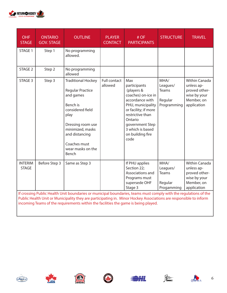

| <b>OHF</b><br><b>STAGE</b>                                                                                                                                                                                                            | <b>ONTARIO</b><br><b>GOV. STAGE</b> | <b>OUTLINE</b>                                                                                                                                                                                                     | <b>PLAYER</b><br><b>CONTACT</b> | # OF<br><b>PARTICIPANTS</b>                                                                                                                                                                                               | <b>STRUCTURE</b>                                    | <b>TRAVEL</b>                                                                                    |  |  |
|---------------------------------------------------------------------------------------------------------------------------------------------------------------------------------------------------------------------------------------|-------------------------------------|--------------------------------------------------------------------------------------------------------------------------------------------------------------------------------------------------------------------|---------------------------------|---------------------------------------------------------------------------------------------------------------------------------------------------------------------------------------------------------------------------|-----------------------------------------------------|--------------------------------------------------------------------------------------------------|--|--|
| STAGE 1                                                                                                                                                                                                                               | Step 1                              | No programming<br>allowed.                                                                                                                                                                                         |                                 |                                                                                                                                                                                                                           |                                                     |                                                                                                  |  |  |
| STAGE 2                                                                                                                                                                                                                               | Step 2                              | No programming<br>allowed                                                                                                                                                                                          |                                 |                                                                                                                                                                                                                           |                                                     |                                                                                                  |  |  |
| STAGE 3                                                                                                                                                                                                                               | Step 3                              | <b>Traditional Hockey</b><br><b>Regular Practice</b><br>and games<br>Bench is<br>considered field<br>play<br>Dressing room use<br>minimized, masks<br>and distancing<br>Coaches must<br>wear masks on the<br>Bench | <b>Full contact</b><br>allowed  | Max<br>participants<br>(players &<br>coaches) on-ice in<br>accordance with<br>PHU, municipality<br>or facility; if more<br>restrictive than<br>Ontario<br>government Step<br>3 which is based<br>on building fire<br>code | MHA/<br>Leagues/<br>Teams<br>Regular<br>Programming | <b>Within Canada</b><br>unless ap-<br>proved other-<br>wise by your<br>Member, on<br>application |  |  |
| <b>INTERIM</b><br><b>STAGE</b>                                                                                                                                                                                                        | Before Step 3                       | Same as Step 3                                                                                                                                                                                                     |                                 | If PHU applies<br>Section 22;<br>Associations and<br>Programs must<br>supersede OHF<br>Stage 3                                                                                                                            | MHA/<br>Leagues/<br>Teams<br>Regular<br>Progamming  | Within Canada<br>unless ap-<br>proved other-<br>wise by your<br>Member, on<br>application        |  |  |
| If crossing Public Health Unit boundaries or municipal boundaries, teams must comply with the regulations of the<br>Public Health Unit or Municipality they are participating in. Minor Hockey Associations are responsible to inform |                                     |                                                                                                                                                                                                                    |                                 |                                                                                                                                                                                                                           |                                                     |                                                                                                  |  |  |

incoming Teams of the requirements within the facilities the game is being played.













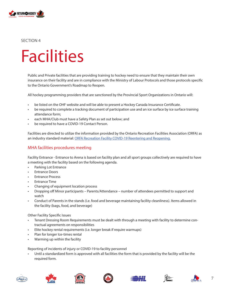

# **Facilities**

Public and Private facilities that are providing training to hockey need to ensure that they maintain their own insurance on their facility and are in compliance with the Ministry of Labour Protocols and those protocols specific to the Ontario Government's Roadmap to Reopen.

All hockey programming providers that are sanctioned by the Provincial Sport Organizations in Ontario will:

- be listed on the OHF website and will be able to present a Hockey Canada Insurance Certificate.
- be required to complete a tracking document of participation use and an ice surface by ice surface training attendance form;
- each MHA/Club must have a Safety Plan as set out below; and
- be required to have a COVID-19 Contact Person.

Facilities are directed to utilize the information provided by the Ontario Recreation Facilities Association (ORFA) as an industry standard material: [ORFA Recreation Facility COVID-19 Reentering and Reopening.](https://www.orfa.com/reopening)

#### MHA facilities procedures meeting

Facility Entrance - Entrance to Arena is based on facility plan and all sport groups collectively are required to have a meeting with the facility based on the following agenda.

- Parking Lot Entrance
- Entrance Doors
- Entrance Process
- Entrance Time
- Changing of equipment location process
- Dropping off Minor participants Parents/Attendance number of attendees permitted to support and watch
- Conduct of Parents in the stands (i.e. food and beverage maintaining facility cleanliness). Items allowed in the facility (bags, food, and beverage)

Other Facility Specific Issues

- Tenant Dressing Room Requirements must be dealt with through a meeting with facility to determine contractual agreements on responsibilities
- Elite hockey rental requirements (i.e. longer break if require warmups)
- Plan for longer Ice-times rental
- Warming up within the facility

Reporting of incidents of injury or COVID-19 to facility personnel

• Until a standardized form is approved with all facilities the form that is provided by the facility will be the required form.













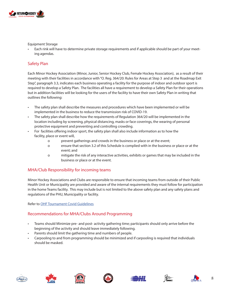

Equipment Storage

• Each rink will have to determine private storage requirements and if applicable should be part of your meeting agendas.

#### Safety Plan

Each Minor Hockey Association (Minor, Junior, Senior Hockey Club, Female Hockey Association), as a result of their meeting with their facilities in accordance with "O. Reg. 364/20: Rules for Areas at Step 3 and at the Roadmap Exit Step", paragraph 3.3, indicates each business operating a facility for the purpose of indoor and outdoor sport is required to develop a Safety Plan. The facilities all have a requirement to develop a Safety Plan for their operations but in addition facilities will be looking for the users of the facility to have their own Safety Plan in writing that outlines the following:

- The safety plan shall describe the measures and procedures which have been implemented or will be implemented in the business to reduce the transmission risk of COVID-19.
- The safety plan shall describe how the requirements of Regulation 364/20 will be implemented in the location including by screening, physical distancing, masks or face coverings, the wearing of personal protective equipment and preventing and controlling crowding.
- For facilities offering indoor sport, the safety plan shall also include information as to how the facility, place or event will,
	- o prevent gatherings and crowds in the business or place or at the event;
	- o ensure that section 3.2 of this Schedule is complied with in the business or place or at the event; and
	- o mitigate the risk of any interactive activities, exhibits or games that may be included in the business or place or at the event.

#### MHA/Club Responsibility for incoming teams

Minor Hockey Associations and Clubs are responsible to ensure that incoming teams from outside of their Public Health Unit or Municipality are provided and aware of the internal requirements they must follow for participation in the home Teams facility. This may include but is not limited to the above safety plan and any safety plans and regulations of the PHU, Municipality or facility.

Refer to [OHF Tournament Covid Guidelines](https://www.ohf.on.ca/media/acyji05d/ohf-tournament-covid-guidelines-and-requirements.pdf)

#### Recommendations for MHA/Clubs Around Programming

- Teams should Minimize pre- and post- activity gathering time; participants should only arrive before the beginning of the activity and should leave immediately following.
- Parents should limit the gathering time and numbers of people.
- Carpooling to and from programming should be minimized and if carpooling is required that individuals should be masked.











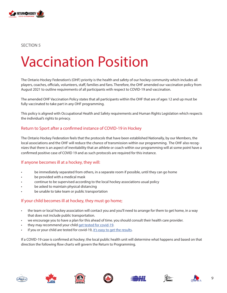

### Vaccination Position

The Ontario Hockey Federation's (OHF) priority is the health and safety of our hockey community which includes all players, coaches, officials, volunteers, staff, families and fans. Therefore, the OHF amended our vaccination policy from August 2021 to outline requirements of all participants with respect to COVID-19 and vaccination.

The amended OHF Vaccination Policy states that all participants within the OHF that are of ages 12 and up must be fully vaccinated to take part in any OHF programming.

This policy is aligned with Occupational Health and Safety requirements and Human Rights Legislation which respects the individual's rights to privacy.

#### Return to Sport after a confirmed instance of COVID-19 in Hockey

The Ontario Hockey Federation feels that the protocols that have been established Nationally, by our Members, the local associations and the OHF will reduce the chance of transmission within our programming. The OHF also recognizes that there is an aspect of inevitability that an athlete or coach within our programming will at some point have a confirmed positive case of COVID 19 and as such protocols are required for this instance.

#### If anyone becomes ill at a hockey, they will:

- be immediately separated from others, in a separate room if possible, until they can go home
- be provided with a medical mask
- continue to be supervised according to the local hockey associations usual policy
- be asked to maintain physical distancing
- be unable to take team or public transportation

#### If your child becomes ill at hockey, they must go home;

- the team or local hockey association will contact you and you'll need to arrange for them to get home, in a way that does not include public transportation.
- we encourage you to have a plan for this ahead of time. you should consult their health care provider.
- they may recommend your child [get tested for covid-19.](https://covid-19.ontario.ca/covid-19-test-and-testing-location-information)
- if you or your child are tested for covid-19, [it's easy to get the results](https://covid19results.ehealthontario.ca:4443/agree).

If a COVID-19 case is confirmed at hockey; the local public health unit will determine what happens and based on that direction the following flow charts will govern the Return to Programming.











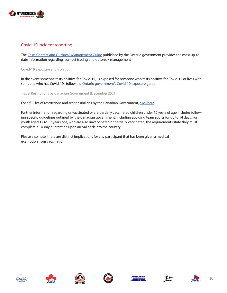

#### Covid-19 incident reporting

The [Case, Contact and Outbreak Management Guide](https://www.health.gov.on.ca/en/pro/programs/publichealth/coronavirus/docs/contact_mngmt/management_cases_contacts_omicron.pdf) published by the Ontario government provides the most up-todate information regarding contact tracing and outbreak management

Covid-19 exposure and isolation

In the event someone tests positive for Covid-19, is exposed for someone who tests positive for Covid-19 or lives with someone who has Covid-19; follow the [Ontario government's Covid-19 exposure guide](https://covid-19.ontario.ca/exposed)

Travel Restrictions by Canadian Government (December 2021)

For a full list of restrictions and responsibilities by the Canadian Government, [click here](https://travel.gc.ca/travel-covid/travel-restrictions/covid-vaccinated-travellers-entering-canada#children).

Further information regarding unvaccinated or are partially vaccinated children under 12 years of age includes following specific guidelines outlined by the Canadian government, including avoiding team sports for up to 14 days. For youth aged 12 to 17 years age, who are also unvaccinated or partially vaccinated, the requirements state they must complete a 14-day quarantine upon arrival back into the country.

Please also note, there are distinct implications for any participant that has been given a medical exemption from vaccination.













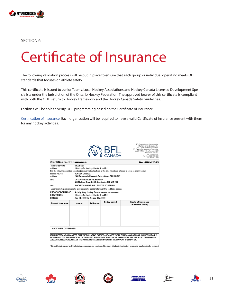

# Certificate of Insurance

The following validation process will be put in place to ensure that each group or individual operating meets OHF standards that focuses on athlete safety.

This certificate is issued to Junior Teams, Local Hockey Associations and Hockey Canada Licensed Development Specialists under the jurisdiction of the Ontario Hockey Federation. The approved bearer of this certificate is compliant with both the OHF Return to Hockey Framework and the Hockey Canada Safety Guidelines.

Facilities will be able to verify OHF programming based on the Certificate of Insurance.

[Certification of Insurance:](https://www.ohf.on.ca/media/la0hyam1/certificate-of-insurance.png) Each organization will be required to have a valid Certificate of Insurance present with them for any hockey activities.

|                                                                                                                                            |                                         |                                      |                                                   | <b>HFL Canada nsques et assurance inc.</b><br>EFL Canada Risk & insurance Inc.<br>BFL Canada Insurance Services Inc.<br>BFL Canada Risk & insurance Services inc.<br>c/o 2001 McGill College Avenue, #2200<br>Montréal QC H3A 1G1<br>Tel: 514 843-3632<br>Toll Free: 1-866-688-9888<br>Fax: 514 843-3842 |  |  |  |  |
|--------------------------------------------------------------------------------------------------------------------------------------------|-----------------------------------------|--------------------------------------|---------------------------------------------------|----------------------------------------------------------------------------------------------------------------------------------------------------------------------------------------------------------------------------------------------------------------------------------------------------------|--|--|--|--|
| <b>Certificate of Insurance</b>                                                                                                            |                                         |                                      |                                                   | <b>No: ABC-12345</b>                                                                                                                                                                                                                                                                                     |  |  |  |  |
| This is to certify to:<br>Address:<br>Named insured:<br>Address:                                                                           | <b>MHA/HCSI</b><br><b>HOCKEY CANADA</b> | 1 Hockey Dr, Hockeyville ON A1A 2B2  | 2451 Promenade Riverside Drive, Ottawa ON K1N7X7  | that the following described policy(ies) or cover note(s) in force at this date have been affected to cover as shown below:                                                                                                                                                                              |  |  |  |  |
| <b>ONTARIO HOCKEY FEDERATION</b><br>and:<br>400 Sheldon Drive, Unit 9, Cambridge ON N1T 2H9<br>HOCKEY CANADA SKILLS INSTRUCTORIMHA<br>and: |                                         |                                      |                                                   |                                                                                                                                                                                                                                                                                                          |  |  |  |  |
| Description of operations and/or activities and/or locations to which this certificate applies:                                            |                                         |                                      |                                                   |                                                                                                                                                                                                                                                                                                          |  |  |  |  |
| <b>PROOF OF INSURANCE:</b>                                                                                                                 |                                         |                                      | Activity: Only Hockey Canada members are covered. |                                                                                                                                                                                                                                                                                                          |  |  |  |  |
| LOCATION(S):                                                                                                                               |                                         | 1 Hockey Dr, Hockeyville ON A1A 2B2. |                                                   |                                                                                                                                                                                                                                                                                                          |  |  |  |  |
| DATE(S):                                                                                                                                   |                                         | July 1th, 2020 to August 31st, 2020  |                                                   |                                                                                                                                                                                                                                                                                                          |  |  |  |  |
| <b>Type of insurance</b>                                                                                                                   | <b>Insurer</b>                          | Policy no.                           | <b>Policy period</b>                              | <b>Limits of Insurance</b><br>(Canadian funds)                                                                                                                                                                                                                                                           |  |  |  |  |
|                                                                                                                                            |                                         |                                      |                                                   |                                                                                                                                                                                                                                                                                                          |  |  |  |  |
|                                                                                                                                            |                                         |                                      |                                                   |                                                                                                                                                                                                                                                                                                          |  |  |  |  |
|                                                                                                                                            |                                         |                                      |                                                   | IT IS UNDERSTOOD AND AGREED THAT THE FOLLOWING ENTITIES ARE ADDED TO THE POLICY AS ADDITIONAL INSURED BUT ONLY<br>WITH RESPECT TO THE OPERATIONS OF THE NAMED INSURED DESCRIBED ABOVE. THIS CERTIFICATE APPLIES TO THE MEMBERS                                                                           |  |  |  |  |
| <b>ADDITIONAL COVERAGES:</b><br>AND AUTHORIZED PERSONNEL OF THE INSURED WHILE OPERATING WITHIN THE SCOPE OF THEIR DUTIES.                  |                                         |                                      |                                                   |                                                                                                                                                                                                                                                                                                          |  |  |  |  |

.<br>This certificate is subject to all the limitations, exclusions and conditions of the above-listed policy(ies) as they now exist or may hereafter be endorsed.











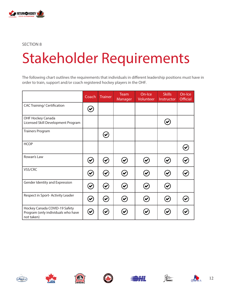

# Stakeholder Requirements

The following chart outlines the requirements that individuals in different leadership positions must have in order to train, support and/or coach registered hockey players in the OHF.

|                                                                                   | Coach                        | <b>Trainer</b>                      | Team<br>Manager      | On-Ice<br>Volunteer  | <b>Skills</b><br>Instructor | On-Ice<br><b>Official</b> |
|-----------------------------------------------------------------------------------|------------------------------|-------------------------------------|----------------------|----------------------|-----------------------------|---------------------------|
| <b>CAC Training/ Certification</b>                                                |                              |                                     |                      |                      |                             |                           |
| OHF Hockey Canada<br>Licensed Skill Development Program                           |                              |                                     |                      |                      |                             |                           |
| <b>Trainers Program</b>                                                           |                              | ✔                                   |                      |                      |                             |                           |
| <b>HCOP</b>                                                                       |                              |                                     |                      |                      |                             |                           |
| Rowan's Law                                                                       | $\blacktriangledown$         | $\widetilde{\blacktriangledown}$    | $\blacktriangledown$ |                      |                             |                           |
| VSS/CRC                                                                           | $\left( \mathbf{v}\right)$   | $\blacktriangledown$                | $\blacktriangledown$ | $\blacktriangledown$ | $\bullet$                   |                           |
| Gender Identity and Expression                                                    | $\blacktriangledown$         | $\left( \blacktriangledown \right)$ | $\blacktriangledown$ |                      |                             |                           |
| Respect in Sport-Activity Leader                                                  | $\boldsymbol{\triangledown}$ | $\blacktriangledown$                | ✔                    |                      |                             |                           |
| Hockey Canada COVID-19 Safety<br>Program (only individuals who have<br>not taken) | ✔                            |                                     |                      |                      |                             |                           |











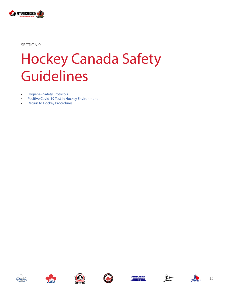

# Hockey Canada Safety Guidelines

- [Hygiene Safety Protocols](https://cdn.hockeycanada.ca/hockey-canada/Exclusive/return-to-hockey/downloads/HC_RTH_Safety-GUIDELINES_EN.pdf)
- [Positive Covid-19 Test in Hockey Environment](https://cdn.hockeycanada.ca/hockey-canada/Exclusive/return-to-hockey/downloads/HC_RTH_Safety-GUIDELINES_EN.pdf)
- [Return to Hockey Procedures](https://www.hockeycanada.ca/en-ca/exclusive/return-to-hockey)













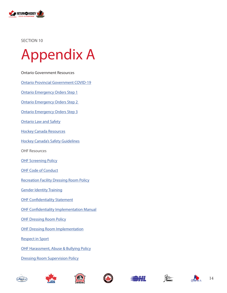

### Appendix A

- [Ontario Government Resources](https://www.ontario.ca/page/reopening-ontario)
- [Ontario Provincial Government COVID-19](https://www.ontario.ca/page/reopening-ontario)
- [Ontario Emergency Orders Step 1](https://www.ontario.ca/laws/regulation/200082)
- [Ontario Emergency Orders Step 2](https://www.ontario.ca/laws/regulation/200263)
- [Ontario Emergency Orders Step 3](https://www.ontario.ca/laws/regulation/200364)
- [Ontario Law and Safety](https://www.ontario.ca/page/law-and-safety)
- [Hockey Canada Resources](https://www.hockeycanada.ca/en-ca/exclusive/return-to-hockey/plans/safety)
- [Hockey Canada's Safety Guidelines](https://cdn.hockeycanada.ca/hockey-canada/Exclusive/return-to-hockey/downloads/HC_RTH_Safety-GUIDELINES_EN.pdf)
- OHF Resources
- **[OHF Screening Policy](https://www.ohf.on.ca/media/5w2pnt4s/ohf_screening_policy_5.pdf)**
- [OHF Code of Conduct](https://www.ohf.on.ca/media/wyqlim0w/ohf_code_of_conduct.pdf)
- [Recreation Facility Dressing Room Policy](https://www.ohf.on.ca/media/0svjhhxs/ohf-recreation-facility-dressing-room-policy.pdf)
- [Gender Identity Training](https://www.ohf.on.ca/coaches/gender-identity-training)
- [OHF Confidentiality Statement](https://secure.pointstreaksites.com/files/uploaded_documents/3676/CS_2016-09-08_Confidentiality_Statement_vf.pdf)
- [OHF Confidentiality Implementation Manual](https://secure.pointstreaksites.com/files/uploaded_documents/3676/CSIM_2016-09-08_OHF_Confidentiality_Implementation_Manual_vf.pdf)
- [OHF Dressing Room Policy](https://secure.pointstreaksites.com/files/uploaded_documents/3676/DRP_2016-09-08_OHF_Dressing_Room_Policy_vf.pdf)
- [OHF Dressing Room Implementation](https://secure.pointstreaksites.com/files/uploaded_documents/3676/DRI_2016-09-08_OHF_Dressing_Room_Implementation_vf.pdf)
- [Respect in Sport](https://www.ohf.on.ca/coaches/respect-in-sport)
- [OHF Harassment, Abuse & Bullying Policy](https://www.ohf.on.ca/media/p3tjtt0c/ohf_harassment-_abuse_and_bullying_policy.pdf)
- [Dressing Room Supervision Policy](https://www.ohf.on.ca/media/4jule00y/ohf_policy_on_dressing_room_supervision.pdf)









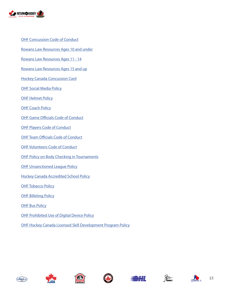

- [OHF Concussion Code of Conduct](https://www.ohf.on.ca/media/zgafnasd/ohf-concussion-code-of-conduct.pdf)
- [Rowans Law Resources Ages 10 and under](https://www.ohf.on.ca/media/e5xh3yne/ages-10-and-under.pdf)
- [Rowans Law Resources Ages 11 14](https://www.ohf.on.ca/media/0kylk0x0/age-11-14.pdf)
- [Rowans Law Resources Ages 15 and up](https://www.ohf.on.ca/media/awznjg4c/ages-15-and-up.pdf)
- [Hockey Canada Concussion Card](https://www.ohf.on.ca/media/mrmmm42h/hockey-canada-concussion-card.pdf)
- [OHF Social Media Policy](https://www.ohf.on.ca/media/molfisv3/ohf-social-media-policy-1.pdf)
- **[OHF Helmet Policy](https://www.ohf.on.ca/media/zy5dnx21/helmet-policy-2019.pdf)**
- **[OHF Coach Policy](https://www.ohf.on.ca/media/dwbfofq0/ohf-coach-policy.pdf)**
- [OHF Game Officials Code of Conduct](https://www.ohf.on.ca/media/ccjjnj1d/ohf-game-officials-code-of-conduct.pdf)
- **[OHF Players Code of Conduct](https://www.ohf.on.ca/media/oinbi2rq/ohf-players-code-of-conduct.pdf)**
- [OHF Team Officials Code of Conduct](https://www.ohf.on.ca/media/wsapl3xp/ohf-team-officials-code-of-conduct.pdf)
- [OHF Volunteers Code of Conduct](https://www.ohf.on.ca/media/zk5fiond/ohf-volunteers-code-of-conduct.pdf)
- [OHF Policy on Body Checking in Tournaments](https://www.ohf.on.ca/media/jt4joaoe/ohf_policy_on_body_checking_within_the_ohf.pdf)
- **[OHF Unsanctioned League Policy](https://www.ohf.on.ca/media/0qflwllt/ohf-unsanctioned-league-policy-for-2021-2022-traditional-season-1.pdf)**
- [Hockey Canada Accredited School Policy](https://www.ohf.on.ca/media/ijtppfkr/hcas-policy-2020-02-10-approved-1.pdf)
- **[OHF Tobacco Policy](https://www.ohf.on.ca/media/oyqexfry/ohf-tobacco-policy.pdf)**
- **[OHF Billeting Policy](https://www.ohf.on.ca/media/4bxcgvz4/ohf-billeting-policy-1.pdf)**
- **[OHF Bus Policy](https://www.ohf.on.ca/media/4bxcgvz4/ohf-billeting-policy-1.pdf)**
- [OHF Prohibited Use of Digital Device Policy](https://www.ohf.on.ca/media/xemb2htv/ohf-policy-prohibited-use-of-digital-devices.pdf)
- [OHF Hockey Canada Licensed Skill Development Program Policy](https://www.ohf.on.ca/risk-management/return-to-hockey-covid-19-response/ohf-hockey-canada-licensed-skill-development-program)











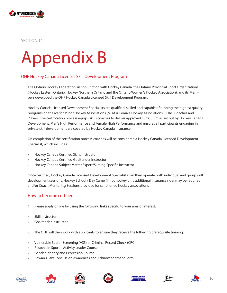

# Appendix B

#### OHF Hockey Canada Licenses Skill Development Program

The Ontario Hockey Federation, in conjunction with Hockey Canada, the Ontario Provincial Sport Organizations (Hockey Eastern Ontario, Hockey Northern Ontario and the Ontario Women's Hockey Association), and its Members developed the OHF Hockey Canada Licensed Skill Development Program.

Hockey Canada Licensed Development Specialists are qualified, skilled and capable of running the highest quality programs on the ice for Minor Hockey Associations (MHAs), Female Hockey Associations (FHAs) Coaches and Players. The certification process equips skills coaches to deliver approved curriculum as set out by Hockey Canada Development, Men's High Performance and Female High Performance and ensures all participants engaging in private skill development are covered by Hockey Canada insurance.

On completion of the certification process coaches will be considered a Hockey Canada Licensed Development Specialist, which includes:

- Hockey Canada Certified Skills Instructor
- Hockey Canada Certified Goaltender Instructor
- Hockey Canada Subject Matter Expert/Skating Specific Instructor

Once certified, Hockey Canada Licensed Development Specialists can then operate both individual and group skill development sessions, Hockey School / Day Camp (if not hockey only additional insurance rider may be required) and/or Coach Mentoring Sessions provided for sanctioned hockey associations.

#### How to become certified

- 1. Please apply online by using the following links specific to your area of interest:
- Skill Instructor
- Goaltender Instructor
- 2. The OHF will then work with applicants to ensure they receive the following prerequisite training:
- Vulnerable Sector Screening (VSS) or Criminal Record Check (CRC)
- Respect in Sport Activity Leader Course
- Gender Identity and Expression Course
- Rowan's Law Concussion Awareness and Acknowledgment Form













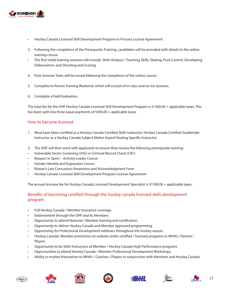

- Hockey Canada Licensed Skill Development Program In-Process License Agreement
- 3. Following the completion of the Prerequisite Training, candidates will be provided with details to the online training course.
- The first initial training sessions will include: Skills Analysis / Teaching Skills, Skating, Puck Control, Developing Defencemen, and Shooting and Scoring.
- 4. Post-Seminar Tasks will be issued following the completion of the online course.
- 5. Complete In-Person Training Weekend, which will consist of in-class and on-ice sessions.
- 6. Complete a Field Evaluation.

The total fee for the OHF Hockey Canada Licensed Skill Development Program is \$1500.00 + applicable taxes. This has been split into three equal payments of \$500.00 + applicable taxes.

#### How to become licensed

- 1. Must have been certified as a Hockey Canada Certified Skills Instructor, Hockey Canada Certified Goaltender Instructor or a Hockey Canada Subject Matter Expert/Skating Specific Instructor.
- 2. The OHF will then work with applicants to ensure they receive the following prerequisite training:
- Vulnerable Sector Screening (VSS) or Criminal Record Check (CRC)
- Respect in Sport Activity Leader Course
- Gender Identity and Expression Course
- Rowan's Law Concussion Awareness and Acknowledgment Form
- Hockey Canada Licensed Skill Development Program License Agreement

The annual licensee fee for Hockey Canada Licensed Development Specialist is \$1500.00 + applicable taxes.

#### Benefits of becoming certified through the hockey canada licensed skills development program

- Full Hockey Canada / Member Insurance coverage
- Endorsement through the OHF and its Members
- Opportunity to attend National / Member training and certification
- Opportunity to deliver Hockey Canada and Member approved programming
- Opportunity for Professional Development webinars throughout the hockey season.
- Hockey Canada/ Member promotion on website under certified / licensed programs to MHA's / Parents / Players
- Opportunity to be Skills Instructors at Member / Hockey Canada High Performance programs
- Opportunities to attend Hockey Canada / Member Professional Development Workshops
- Ability to market themselves to MHA's / Coaches / Players in conjunction with Members and Hockey Canada













17